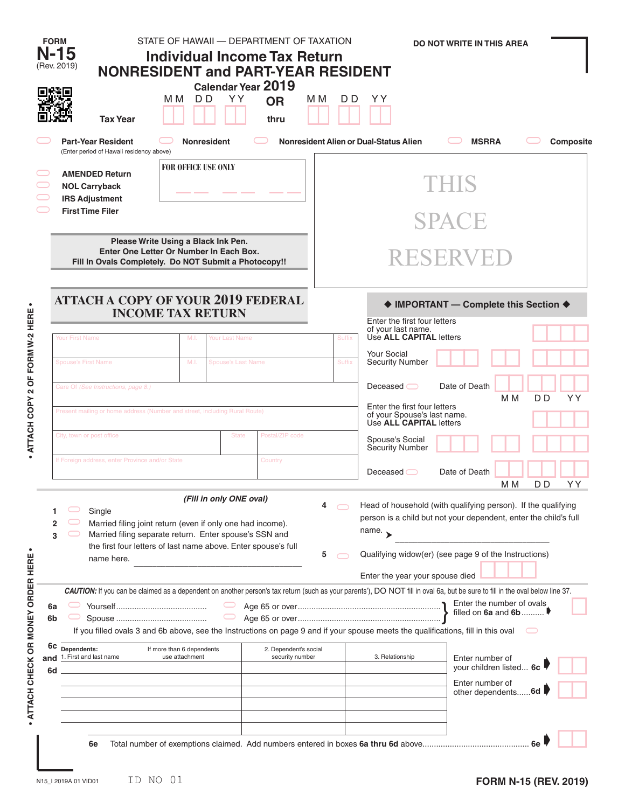|                                         | <b>FORM</b><br>N-15<br>(Rev. 2019)                                                                                                                                                                                                                                                                                                                                                                                                                                      | <b>NONRESIDENT and PART-YEAR RESIDENT</b>                                  | STATE OF HAWAII - DEPARTMENT OF TAXATION<br><b>Individual Income Tax Return</b><br>D <sub>D</sub><br>м м | YY.            | Calendar Year 2019<br><b>OR</b> | M M | D D                                                                   | YY                                                                                                                                                                                                                                                   | <b>DO NOT WRITE IN THIS AREA</b>                                                               |     |                      |  |  |  |  |  |
|-----------------------------------------|-------------------------------------------------------------------------------------------------------------------------------------------------------------------------------------------------------------------------------------------------------------------------------------------------------------------------------------------------------------------------------------------------------------------------------------------------------------------------|----------------------------------------------------------------------------|----------------------------------------------------------------------------------------------------------|----------------|---------------------------------|-----|-----------------------------------------------------------------------|------------------------------------------------------------------------------------------------------------------------------------------------------------------------------------------------------------------------------------------------------|------------------------------------------------------------------------------------------------|-----|----------------------|--|--|--|--|--|
|                                         |                                                                                                                                                                                                                                                                                                                                                                                                                                                                         | <b>Tax Year</b><br>thru<br><b>Part-Year Resident</b><br><b>Nonresident</b> |                                                                                                          |                |                                 |     | Nonresident Alien or Dual-Status Alien                                |                                                                                                                                                                                                                                                      | <b>MSRRA</b>                                                                                   |     |                      |  |  |  |  |  |
|                                         | <b>NOL Carryback</b><br><b>IRS Adjustment</b>                                                                                                                                                                                                                                                                                                                                                                                                                           | (Enter period of Hawaii residency above)<br><b>AMENDED Return</b>          | <b>FOR OFFICE USE ONLY</b>                                                                               |                |                                 |     |                                                                       | THIS                                                                                                                                                                                                                                                 |                                                                                                |     |                      |  |  |  |  |  |
|                                         | <b>First Time Filer</b>                                                                                                                                                                                                                                                                                                                                                                                                                                                 |                                                                            |                                                                                                          |                |                                 |     | <b>SPACE</b>                                                          |                                                                                                                                                                                                                                                      |                                                                                                |     |                      |  |  |  |  |  |
|                                         | Please Write Using a Black Ink Pen.<br>Enter One Letter Or Number In Each Box.<br>Fill In Ovals Completely. Do NOT Submit a Photocopy!!                                                                                                                                                                                                                                                                                                                                 |                                                                            |                                                                                                          |                |                                 |     |                                                                       | RESERVED                                                                                                                                                                                                                                             |                                                                                                |     |                      |  |  |  |  |  |
| $\bullet$                               |                                                                                                                                                                                                                                                                                                                                                                                                                                                                         | <b>ATTACH A COPY OF YOUR 2019 FEDERAL</b>                                  | <b>INCOME TAX RETURN</b>                                                                                 |                |                                 |     | ♦ IMPORTANT - Complete this Section ♦<br>Enter the first four letters |                                                                                                                                                                                                                                                      |                                                                                                |     |                      |  |  |  |  |  |
|                                         | Your First Name                                                                                                                                                                                                                                                                                                                                                                                                                                                         |                                                                            | M.I.                                                                                                     | Your Last Name |                                 |     | Suffix                                                                | of your last name.<br>Use ALL CAPITAL letters<br><b>Your Social</b>                                                                                                                                                                                  |                                                                                                |     |                      |  |  |  |  |  |
|                                         | <b>Spouse's First Name</b>                                                                                                                                                                                                                                                                                                                                                                                                                                              |                                                                            | M.I.<br><b>Spouse's Last Name</b>                                                                        |                |                                 |     | <b>Suffix</b>                                                         | <b>Security Number</b>                                                                                                                                                                                                                               |                                                                                                |     |                      |  |  |  |  |  |
| ATTACH COPY 2 OF FORM W-2 HERE          | Care Of (See Instructions, page 8.)<br>Present mailing or home address (Number and street, including Rural Route)<br>City, town or post office<br>Postal/ZIP code<br><b>State</b>                                                                                                                                                                                                                                                                                       |                                                                            |                                                                                                          |                |                                 |     |                                                                       | Date of Death<br>Deceased $\bigcirc$<br>D <sub>D</sub><br>YY<br>M <sub>M</sub><br>Enter the first four letters<br>of your Spouse's last name.<br>Use <b>ALL CAPITAL</b> letters<br>Spouse's Social<br><b>Security Number</b>                         |                                                                                                |     |                      |  |  |  |  |  |
| $\bullet$                               | If Foreign address, enter Province and/or State<br>Country                                                                                                                                                                                                                                                                                                                                                                                                              |                                                                            |                                                                                                          |                |                                 |     |                                                                       | Deceased                                                                                                                                                                                                                                             | Date of Death                                                                                  | M M | D <sub>D</sub><br>YY |  |  |  |  |  |
|                                         | (Fill in only ONE oval)<br>4<br>Single<br>Married filing joint return (even if only one had income).<br>2<br>Married filing separate return. Enter spouse's SSN and<br>3<br>the first four letters of last name above. Enter spouse's full<br>5<br>name here.                                                                                                                                                                                                           |                                                                            |                                                                                                          |                |                                 |     |                                                                       | Head of household (with qualifying person). If the qualifying<br>person is a child but not your dependent, enter the child's full<br>name. $\rightarrow$<br>Qualifying widow(er) (see page 9 of the Instructions)<br>Enter the year your spouse died |                                                                                                |     |                      |  |  |  |  |  |
| ATTACH CHECK OR MONEY ORDER HERE<br>and | CAUTION: If you can be claimed as a dependent on another person's tax return (such as your parents'), DO NOT fill in oval 6a, but be sure to fill in the oval below line 37.<br>6a<br>6b<br>If you filled ovals 3 and 6b above, see the Instructions on page 9 and if your spouse meets the qualifications, fill in this oval<br>6c<br>Dependents:<br>2. Dependent's social<br>If more than 6 dependents<br>1. First and last name<br>use attachment<br>security number |                                                                            |                                                                                                          |                |                                 |     |                                                                       | 3. Relationship                                                                                                                                                                                                                                      | Enter the number of ovals<br>filled on 6a and 6b<br>Enter number of<br>your children listed 6c |     |                      |  |  |  |  |  |
|                                         | 6d                                                                                                                                                                                                                                                                                                                                                                                                                                                                      | 6e                                                                         |                                                                                                          |                |                                 |     |                                                                       |                                                                                                                                                                                                                                                      | Enter number of<br>other dependents 6d                                                         |     |                      |  |  |  |  |  |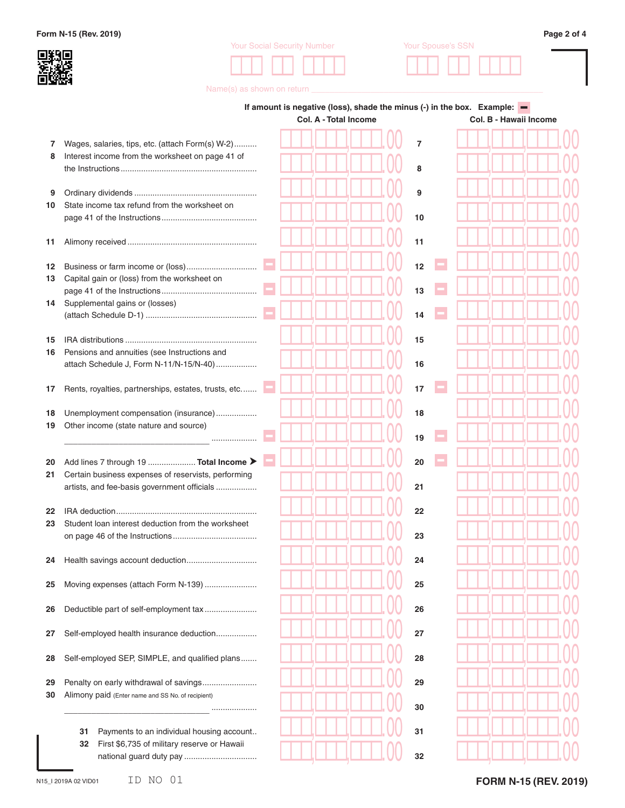**Form N-15 (Rev. 2019) Page 2 of 4**



| <b>Your Social Security Number</b> | Your Spouse's SSN |  |  |  |  |  |  |  |  |  |
|------------------------------------|-------------------|--|--|--|--|--|--|--|--|--|
|                                    |                   |  |  |  |  |  |  |  |  |  |



Name(s) as shown on return **\_\_\_** 

|          |                                                                                                    | If amount is negative (loss), shade the minus (-) in the box. Example: $\blacksquare$<br><b>Col. A - Total Income</b> |  |  |  |  |  | Col. B - Hawaii Income |  |  |  |  |  |  |  |
|----------|----------------------------------------------------------------------------------------------------|-----------------------------------------------------------------------------------------------------------------------|--|--|--|--|--|------------------------|--|--|--|--|--|--|--|
| 7        | Wages, salaries, tips, etc. (attach Form(s) W-2)                                                   |                                                                                                                       |  |  |  |  |  | $\overline{7}$         |  |  |  |  |  |  |  |
| 8        | Interest income from the worksheet on page 41 of                                                   |                                                                                                                       |  |  |  |  |  | 8                      |  |  |  |  |  |  |  |
| 9        |                                                                                                    |                                                                                                                       |  |  |  |  |  | 9                      |  |  |  |  |  |  |  |
| 10       | State income tax refund from the worksheet on                                                      |                                                                                                                       |  |  |  |  |  | 10                     |  |  |  |  |  |  |  |
| 11       |                                                                                                    |                                                                                                                       |  |  |  |  |  | 11                     |  |  |  |  |  |  |  |
| 12       |                                                                                                    |                                                                                                                       |  |  |  |  |  | 12                     |  |  |  |  |  |  |  |
| 13       | Capital gain or (loss) from the worksheet on                                                       |                                                                                                                       |  |  |  |  |  | 13                     |  |  |  |  |  |  |  |
| 14       | Supplemental gains or (losses)                                                                     |                                                                                                                       |  |  |  |  |  | 14                     |  |  |  |  |  |  |  |
| 15       |                                                                                                    |                                                                                                                       |  |  |  |  |  | 15                     |  |  |  |  |  |  |  |
| 16       | Pensions and annuities (see Instructions and<br>attach Schedule J, Form N-11/N-15/N-40)            |                                                                                                                       |  |  |  |  |  | 16                     |  |  |  |  |  |  |  |
| 17       | Rents, royalties, partnerships, estates, trusts, etc                                               |                                                                                                                       |  |  |  |  |  | 17                     |  |  |  |  |  |  |  |
| 18<br>19 | Unemployment compensation (insurance)<br>Other income (state nature and source)                    |                                                                                                                       |  |  |  |  |  | 18                     |  |  |  |  |  |  |  |
|          |                                                                                                    |                                                                                                                       |  |  |  |  |  | 19                     |  |  |  |  |  |  |  |
| 20       | Add lines 7 through 19  Total Income >                                                             |                                                                                                                       |  |  |  |  |  | 20                     |  |  |  |  |  |  |  |
| 21       | Certain business expenses of reservists, performing<br>artists, and fee-basis government officials |                                                                                                                       |  |  |  |  |  | 21                     |  |  |  |  |  |  |  |
| 22       |                                                                                                    |                                                                                                                       |  |  |  |  |  | 22                     |  |  |  |  |  |  |  |
| 23       | Student loan interest deduction from the worksheet                                                 |                                                                                                                       |  |  |  |  |  | 23                     |  |  |  |  |  |  |  |
| 24       |                                                                                                    |                                                                                                                       |  |  |  |  |  | 24                     |  |  |  |  |  |  |  |
| 25       | Moving expenses (attach Form N-139)                                                                |                                                                                                                       |  |  |  |  |  | 25                     |  |  |  |  |  |  |  |
| 26       | Deductible part of self-employment tax                                                             |                                                                                                                       |  |  |  |  |  | 26                     |  |  |  |  |  |  |  |
| 27       | Self-employed health insurance deduction                                                           |                                                                                                                       |  |  |  |  |  | 27                     |  |  |  |  |  |  |  |
| 28       | Self-employed SEP, SIMPLE, and qualified plans                                                     |                                                                                                                       |  |  |  |  |  | 28                     |  |  |  |  |  |  |  |
| 29       | Penalty on early withdrawal of savings                                                             |                                                                                                                       |  |  |  |  |  | 29                     |  |  |  |  |  |  |  |
| 30       | Alimony paid (Enter name and SS No. of recipient)<br>                                              |                                                                                                                       |  |  |  |  |  | 30                     |  |  |  |  |  |  |  |
|          | Payments to an individual housing account<br>31                                                    |                                                                                                                       |  |  |  |  |  | 31                     |  |  |  |  |  |  |  |
|          | First \$6,735 of military reserve or Hawaii<br>32                                                  |                                                                                                                       |  |  |  |  |  | 32                     |  |  |  |  |  |  |  |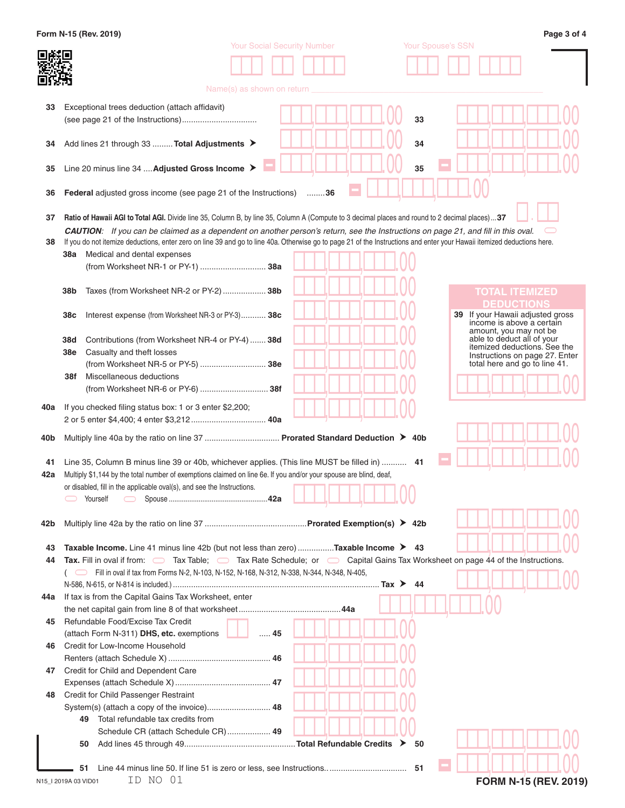|           | Form N-15 (Rev. 2019)                                                                                                                                                                                                                                                                                               |                                    |    |                          | Page 3 of 4                                                     |
|-----------|---------------------------------------------------------------------------------------------------------------------------------------------------------------------------------------------------------------------------------------------------------------------------------------------------------------------|------------------------------------|----|--------------------------|-----------------------------------------------------------------|
|           |                                                                                                                                                                                                                                                                                                                     | <b>Your Social Security Number</b> |    | <b>Your Spouse's SSN</b> |                                                                 |
|           |                                                                                                                                                                                                                                                                                                                     |                                    |    |                          |                                                                 |
|           |                                                                                                                                                                                                                                                                                                                     | Name(s) as shown on return         |    |                          |                                                                 |
|           |                                                                                                                                                                                                                                                                                                                     |                                    |    |                          |                                                                 |
| 33        | Exceptional trees deduction (attach affidavit)                                                                                                                                                                                                                                                                      |                                    |    |                          |                                                                 |
|           |                                                                                                                                                                                                                                                                                                                     |                                    |    | 33                       |                                                                 |
| 34        | Add lines 21 through 33  Total Adjustments >                                                                                                                                                                                                                                                                        |                                    |    | 34                       |                                                                 |
|           |                                                                                                                                                                                                                                                                                                                     |                                    |    |                          |                                                                 |
| 35        | Line 20 minus line 34  Adjusted Gross Income >                                                                                                                                                                                                                                                                      |                                    |    | 35                       |                                                                 |
|           |                                                                                                                                                                                                                                                                                                                     |                                    |    |                          |                                                                 |
| 36        | <b>Federal</b> adjusted gross income (see page 21 of the Instructions)                                                                                                                                                                                                                                              |                                    | 36 |                          |                                                                 |
|           |                                                                                                                                                                                                                                                                                                                     |                                    |    |                          |                                                                 |
| 37        | <b>Ratio of Hawaii AGI to Total AGI.</b> Divide line 35, Column B, by line 35, Column A (Compute to 3 decimal places and round to 2 decimal places)37                                                                                                                                                               |                                    |    |                          |                                                                 |
| 38        | <b>CAUTION:</b> If you can be claimed as a dependent on another person's return, see the Instructions on page 21, and fill in this oval.<br>If you do not itemize deductions, enter zero on line 39 and go to line 40a. Otherwise go to page 21 of the Instructions and enter your Hawaii itemized deductions here. |                                    |    |                          |                                                                 |
|           | Medical and dental expenses<br>38a                                                                                                                                                                                                                                                                                  |                                    |    |                          |                                                                 |
|           | (from Worksheet NR-1 or PY-1)  38a                                                                                                                                                                                                                                                                                  |                                    |    |                          |                                                                 |
|           |                                                                                                                                                                                                                                                                                                                     |                                    |    |                          |                                                                 |
|           | 38b<br>Taxes (from Worksheet NR-2 or PY-2) 38b                                                                                                                                                                                                                                                                      |                                    |    |                          | <b>TOTAL ITEMIZED</b>                                           |
|           |                                                                                                                                                                                                                                                                                                                     |                                    |    |                          | <b>DEDUCTIONS</b>                                               |
|           | 38c<br>Interest expense (from Worksheet NR-3 or PY-3) 38c                                                                                                                                                                                                                                                           |                                    |    |                          | 39 If your Hawaii adjusted gross<br>income is above a certain   |
|           |                                                                                                                                                                                                                                                                                                                     |                                    |    |                          | amount, you may not be                                          |
|           | 38d<br>Contributions (from Worksheet NR-4 or PY-4)  38d                                                                                                                                                                                                                                                             |                                    |    |                          | able to deduct all of your<br>itemized deductions. See the      |
|           | 38e<br>Casualty and theft losses<br>(from Worksheet NR-5 or PY-5)  38e                                                                                                                                                                                                                                              |                                    |    |                          | Instructions on page 27. Enter<br>total here and go to line 41. |
|           | Miscellaneous deductions<br>38f                                                                                                                                                                                                                                                                                     |                                    |    |                          |                                                                 |
|           |                                                                                                                                                                                                                                                                                                                     |                                    |    |                          |                                                                 |
|           |                                                                                                                                                                                                                                                                                                                     |                                    |    |                          |                                                                 |
| 40a       | If you checked filing status box: 1 or 3 enter \$2,200;                                                                                                                                                                                                                                                             |                                    |    |                          |                                                                 |
|           |                                                                                                                                                                                                                                                                                                                     |                                    |    |                          |                                                                 |
| 40b       | Multiply line 40a by the ratio on line 37  Prorated Standard Deduction > 40b                                                                                                                                                                                                                                        |                                    |    |                          |                                                                 |
|           |                                                                                                                                                                                                                                                                                                                     |                                    |    |                          |                                                                 |
| 41<br>42a | 14. Line 35, Column B minus line 39 or 40b, whichever applies. (This line MUST be filled in)  41<br>Multiply \$1,144 by the total number of exemptions claimed on line 6e. If you and/or your spouse are blind, deaf,                                                                                               |                                    |    |                          |                                                                 |
|           | or disabled, fill in the applicable oval(s), and see the Instructions.                                                                                                                                                                                                                                              |                                    |    |                          |                                                                 |
|           | Yourself<br>$\bigcirc$                                                                                                                                                                                                                                                                                              |                                    |    |                          |                                                                 |
|           |                                                                                                                                                                                                                                                                                                                     |                                    |    |                          |                                                                 |
| 42b       |                                                                                                                                                                                                                                                                                                                     |                                    |    |                          |                                                                 |
|           |                                                                                                                                                                                                                                                                                                                     |                                    |    |                          |                                                                 |
| 43        | <b>Taxable Income.</b> Line 41 minus line 42b (but not less than zero) <b>Taxable Income <math>\triangleright</math></b> 43                                                                                                                                                                                         |                                    |    |                          |                                                                 |
| 44        | Tax. Fill in oval if from: $\Box$ Tax Table; $\Box$ Tax Rate Schedule; or $\Box$ Capital Gains Tax Worksheet on page 44 of the Instructions.<br>Fill in oval if tax from Forms N-2, N-103, N-152, N-168, N-312, N-338, N-344, N-348, N-405,                                                                         |                                    |    |                          |                                                                 |
|           |                                                                                                                                                                                                                                                                                                                     |                                    |    | 44                       |                                                                 |
| 44a       | If tax is from the Capital Gains Tax Worksheet, enter                                                                                                                                                                                                                                                               |                                    |    |                          |                                                                 |
|           |                                                                                                                                                                                                                                                                                                                     |                                    |    |                          |                                                                 |
| 45        | Refundable Food/Excise Tax Credit                                                                                                                                                                                                                                                                                   |                                    |    |                          |                                                                 |
|           | (attach Form N-311) DHS, etc. exemptions                                                                                                                                                                                                                                                                            | $\ldots$ . 45                      |    |                          |                                                                 |
| 46        | Credit for Low-Income Household                                                                                                                                                                                                                                                                                     |                                    |    |                          |                                                                 |
|           |                                                                                                                                                                                                                                                                                                                     |                                    |    |                          |                                                                 |
| 47        | Credit for Child and Dependent Care                                                                                                                                                                                                                                                                                 |                                    |    |                          |                                                                 |
| 48        | Credit for Child Passenger Restraint                                                                                                                                                                                                                                                                                |                                    |    |                          |                                                                 |
|           |                                                                                                                                                                                                                                                                                                                     |                                    |    |                          |                                                                 |
|           | Total refundable tax credits from<br>49                                                                                                                                                                                                                                                                             |                                    |    |                          |                                                                 |
|           | Schedule CR (attach Schedule CR) 49                                                                                                                                                                                                                                                                                 |                                    |    |                          |                                                                 |
|           | 50                                                                                                                                                                                                                                                                                                                  |                                    |    | 50                       |                                                                 |
|           |                                                                                                                                                                                                                                                                                                                     |                                    |    |                          |                                                                 |
|           | 51                                                                                                                                                                                                                                                                                                                  |                                    |    |                          |                                                                 |
|           | ID NO 01<br>N15_I 2019A 03 VID01                                                                                                                                                                                                                                                                                    |                                    |    |                          | FORM N-15 (REV. 2019)                                           |